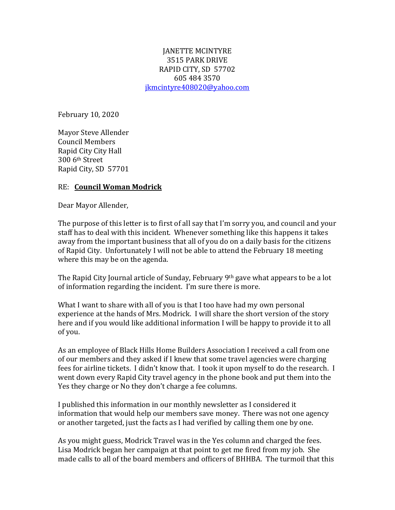## JANETTE MCINTYRE 3515 PARK DRIVE RAPID CITY, SD 57702 605 484 3570 [jkmcintyre408020@yahoo.com](mailto:jkmcintyre408020@yahoo.com)

February 10, 2020

Mayor Steve Allender Council Members Rapid City City Hall 300 6th Street Rapid City, SD 57701

## RE: **Council Woman Modrick**

Dear Mayor Allender,

The purpose of this letter is to first of all say that I'm sorry you, and council and your staff has to deal with this incident. Whenever something like this happens it takes away from the important business that all of you do on a daily basis for the citizens of Rapid City. Unfortunately I will not be able to attend the February 18 meeting where this may be on the agenda.

The Rapid City Journal article of Sunday, February 9th gave what appears to be a lot of information regarding the incident. I'm sure there is more.

What I want to share with all of you is that I too have had my own personal experience at the hands of Mrs. Modrick. I will share the short version of the story here and if you would like additional information I will be happy to provide it to all of you.

As an employee of Black Hills Home Builders Association I received a call from one of our members and they asked if I knew that some travel agencies were charging fees for airline tickets. I didn't know that. I took it upon myself to do the research. I went down every Rapid City travel agency in the phone book and put them into the Yes they charge or No they don't charge a fee columns.

I published this information in our monthly newsletter as I considered it information that would help our members save money. There was not one agency or another targeted, just the facts as I had verified by calling them one by one.

As you might guess, Modrick Travel was in the Yes column and charged the fees. Lisa Modrick began her campaign at that point to get me fired from my job. She made calls to all of the board members and officers of BHHBA. The turmoil that this